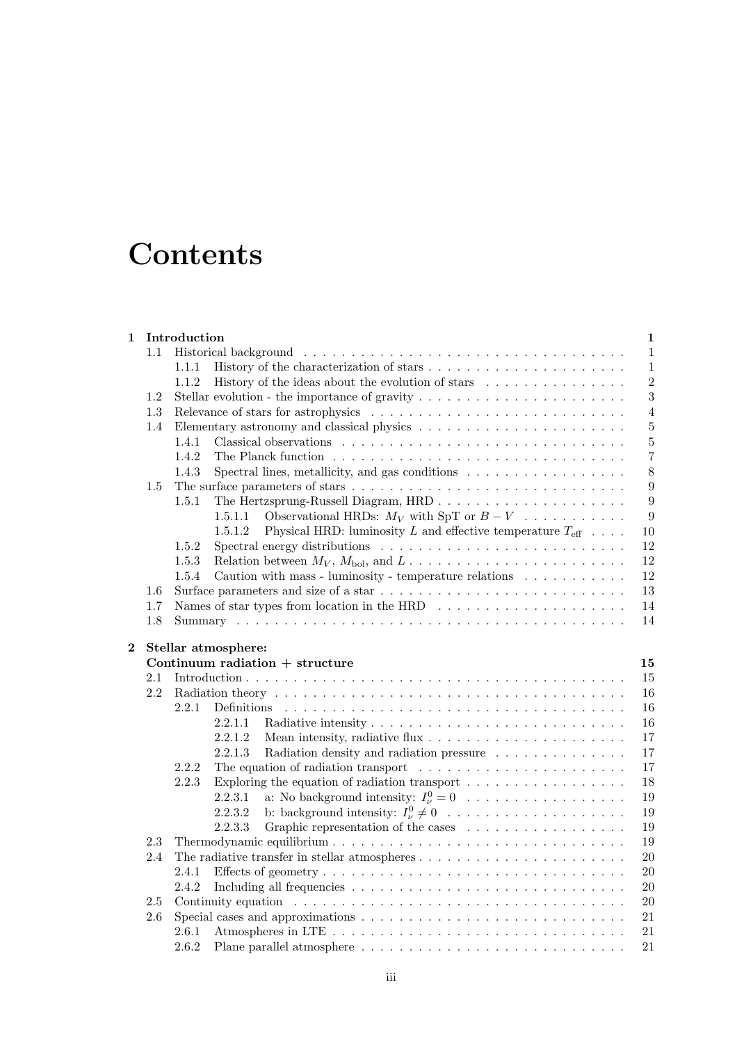# **Contents**

| 1        |     | Introduction<br>1                                                                                                                |  |  |
|----------|-----|----------------------------------------------------------------------------------------------------------------------------------|--|--|
|          | 1.1 | $\mathbf{1}$                                                                                                                     |  |  |
|          |     | $\mathbf{1}$<br>1.1.1                                                                                                            |  |  |
|          |     | $\overline{2}$<br>1.1.2<br>History of the ideas about the evolution of stars $\dots \dots \dots \dots \dots$                     |  |  |
|          | 1.2 | $\sqrt{3}$                                                                                                                       |  |  |
|          | 1.3 | $\overline{4}$                                                                                                                   |  |  |
|          | 1.4 | Elementary astronomy and classical physics $\hfill\ldots\ldots\ldots\ldots\ldots\ldots\ldots\ldots\ldots\ldots\ldots$<br>$\bf 5$ |  |  |
|          |     | $\bf 5$<br>1.4.1                                                                                                                 |  |  |
|          |     | 1.4.2<br>$\overline{7}$                                                                                                          |  |  |
|          |     | $8\,$<br>Spectral lines, metallicity, and gas conditions $\dots \dots \dots \dots \dots \dots$<br>1.4.3                          |  |  |
|          | 1.5 | 9                                                                                                                                |  |  |
|          |     | $\boldsymbol{9}$<br>1.5.1                                                                                                        |  |  |
|          |     | 9<br>Observational HRDs: $M_V$ with SpT or $B-V$<br>1.5.1.1                                                                      |  |  |
|          |     | Physical HRD: luminosity L and effective temperature $T_{\text{eff}}$<br>10<br>1.5.1.2                                           |  |  |
|          |     | 12<br>1.5.2                                                                                                                      |  |  |
|          |     | 12<br>1.5.3<br>Relation between $M_V$ , $M_{\text{bol}}$ , and $L \ldots \ldots \ldots \ldots \ldots \ldots \ldots \ldots$       |  |  |
|          |     | 12<br>Caution with mass - luminosity - temperature relations $\ldots \ldots \ldots$<br>1.5.4                                     |  |  |
|          | 1.6 | $13\,$                                                                                                                           |  |  |
|          | 1.7 | 14                                                                                                                               |  |  |
|          | 1.8 | 14                                                                                                                               |  |  |
|          |     |                                                                                                                                  |  |  |
| $\bf{2}$ |     | Stellar atmosphere:                                                                                                              |  |  |
|          |     | Continuum radiation $+$ structure<br>15                                                                                          |  |  |
|          | 2.1 | 15                                                                                                                               |  |  |
|          |     | 16                                                                                                                               |  |  |
|          | 2.2 |                                                                                                                                  |  |  |
|          |     | 2.2.1<br><b>Definitions</b><br>16                                                                                                |  |  |
|          |     | 2.2.1.1<br>16                                                                                                                    |  |  |
|          |     | 2.2.1.2<br>17                                                                                                                    |  |  |
|          |     | 2.2.1.3<br>17<br>Radiation density and radiation pressure                                                                        |  |  |
|          |     | 2.2.2<br>The equation of radiation transport $\dots \dots \dots \dots \dots \dots \dots \dots$<br>17                             |  |  |
|          |     | 2.2.3<br>Exploring the equation of radiation transport $\ldots \ldots \ldots \ldots \ldots$<br>18                                |  |  |
|          |     | 19<br>2.2.3.1                                                                                                                    |  |  |
|          |     | b: background intensity: $I_{\nu}^0 \neq 0$<br>19<br>2.2.3.2                                                                     |  |  |
|          |     | 2.2.3.3<br>Graphic representation of the cases<br>19                                                                             |  |  |
|          | 2.3 | 19                                                                                                                               |  |  |
|          | 2.4 | The radiative transfer in stellar atmospheres $\dots \dots \dots \dots \dots \dots \dots \dots \dots$<br>20                      |  |  |
|          |     | $20\,$<br>2.4.1                                                                                                                  |  |  |
|          |     | 2.4.2<br>$20\,$                                                                                                                  |  |  |
|          | 2.5 | 20                                                                                                                               |  |  |
|          | 2.6 | 21                                                                                                                               |  |  |
|          |     | 2.6.1<br>21                                                                                                                      |  |  |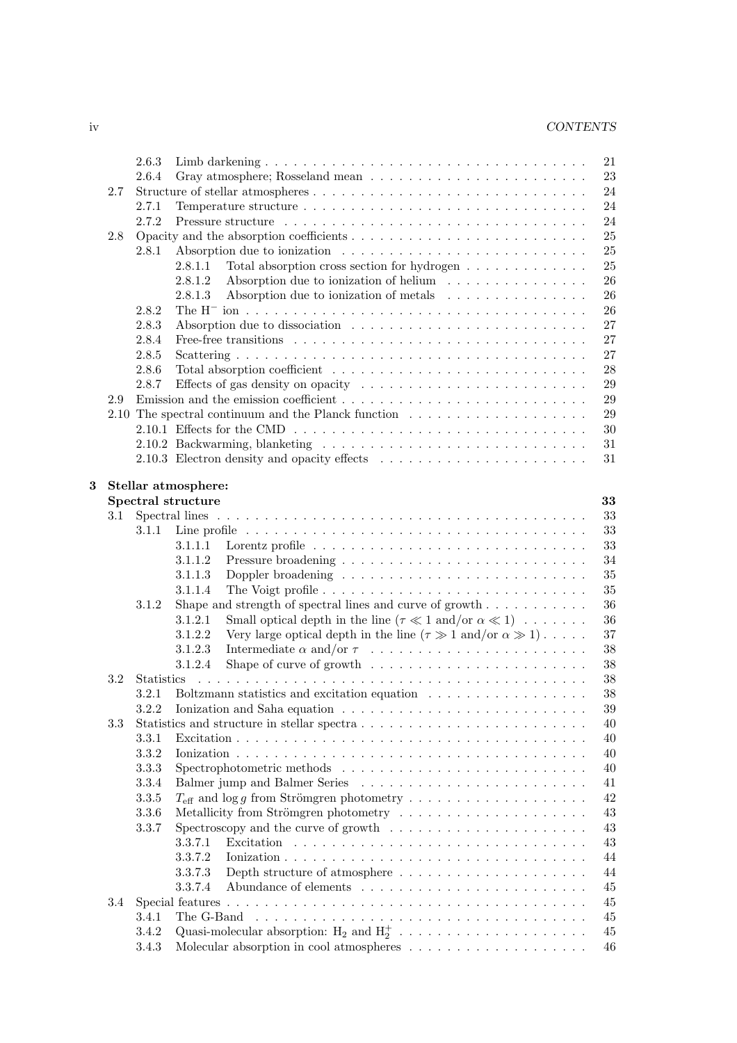| ıv | <b>CONTENTS</b> |
|----|-----------------|
|    |                 |

|   |     | 2.6.3             | 21                                                                                                         |
|---|-----|-------------------|------------------------------------------------------------------------------------------------------------|
|   |     | 2.6.4             | 23                                                                                                         |
|   | 2.7 |                   | 24                                                                                                         |
|   |     | 2.7.1             | 24                                                                                                         |
|   |     | 2.7.2             | 24                                                                                                         |
|   | 2.8 |                   | 25                                                                                                         |
|   |     | 2.8.1             | 25                                                                                                         |
|   |     |                   |                                                                                                            |
|   |     |                   | Total absorption cross section for hydrogen<br>25<br>2.8.1.1                                               |
|   |     |                   | Absorption due to ionization of helium<br>26<br>2.8.1.2                                                    |
|   |     |                   | Absorption due to ionization of metals<br>26<br>2.8.1.3                                                    |
|   |     | 2.8.2             | 26                                                                                                         |
|   |     | 2.8.3             | 27                                                                                                         |
|   |     | 2.8.4             | Free-free transitions $\ldots \ldots \ldots \ldots \ldots \ldots \ldots \ldots \ldots \ldots \ldots$<br>27 |
|   |     | 2.8.5             | 27                                                                                                         |
|   |     | 2.8.6             | 28                                                                                                         |
|   |     |                   |                                                                                                            |
|   |     | 2.8.7             | 29                                                                                                         |
|   | 2.9 |                   | 29                                                                                                         |
|   |     |                   | 29                                                                                                         |
|   |     |                   | 30                                                                                                         |
|   |     |                   | 31                                                                                                         |
|   |     |                   | 31                                                                                                         |
|   |     |                   |                                                                                                            |
| 3 |     |                   | Stellar atmosphere:                                                                                        |
|   |     |                   | <b>Spectral structure</b><br>33                                                                            |
|   | 3.1 |                   | 33                                                                                                         |
|   |     | 3.1.1             | 33                                                                                                         |
|   |     |                   |                                                                                                            |
|   |     |                   | 3.1.1.1<br>33                                                                                              |
|   |     |                   | 3.1.1.2<br>34                                                                                              |
|   |     |                   | 3.1.1.3<br>35                                                                                              |
|   |     |                   | 35<br>3.1.1.4                                                                                              |
|   |     | 3.1.2             | Shape and strength of spectral lines and curve of growth $\dots \dots \dots$<br>36                         |
|   |     |                   | Small optical depth in the line $(\tau \ll 1 \text{ and/or } \alpha \ll 1) \dots \dots$<br>36<br>3.1.2.1   |
|   |     |                   | Very large optical depth in the line $(\tau \gg 1 \text{ and/or } \alpha \gg 1) \dots$ .<br>3.1.2.2<br>37  |
|   |     |                   | 3.1.2.3<br>$38\,$                                                                                          |
|   |     |                   |                                                                                                            |
|   |     |                   | Shape of curve of growth $\dots \dots \dots \dots \dots \dots \dots \dots$<br>3.1.2.4<br>$38\,$            |
|   | 3.2 | <b>Statistics</b> | $38\,$                                                                                                     |
|   |     | 3.2.1             | Boltzmann statistics and excitation equation $\ldots \ldots \ldots \ldots \ldots$<br>38                    |
|   |     |                   | $39\,$<br>3.2.2 Ionization and Saha equation $\ldots \ldots \ldots \ldots \ldots \ldots \ldots \ldots$     |
|   | 3.3 |                   | 40                                                                                                         |
|   |     | 3.3.1             | 40                                                                                                         |
|   |     | 3.3.2             | 40                                                                                                         |
|   |     | 3.3.3             | 40                                                                                                         |
|   |     |                   |                                                                                                            |
|   |     | 3.3.4             | 41                                                                                                         |
|   |     | 3.3.5             | 42                                                                                                         |
|   |     | 3.3.6             | Metallicity from Strömgren photometry $\dots \dots \dots \dots \dots \dots \dots \dots$<br>43              |
|   |     | 3.3.7             | Spectroscopy and the curve of growth $\dots \dots \dots \dots \dots \dots \dots \dots$<br>43               |
|   |     |                   | 3.3.7.1<br>43                                                                                              |
|   |     |                   | 3.3.7.2<br>44                                                                                              |
|   |     |                   | Depth structure of atmosphere $\dots \dots \dots \dots \dots \dots \dots \dots$<br>3.3.7.3<br>44           |
|   |     |                   | 3.3.7.4<br>45                                                                                              |
|   | 3.4 |                   | 45                                                                                                         |
|   |     |                   |                                                                                                            |
|   |     | 3.4.1             | 45                                                                                                         |
|   |     | 3.4.2             | 45                                                                                                         |
|   |     | 3.4.3             | Molecular absorption in cool atmospheres $\hfill\ldots\ldots\ldots\ldots\ldots\ldots\ldots\ldots$<br>46    |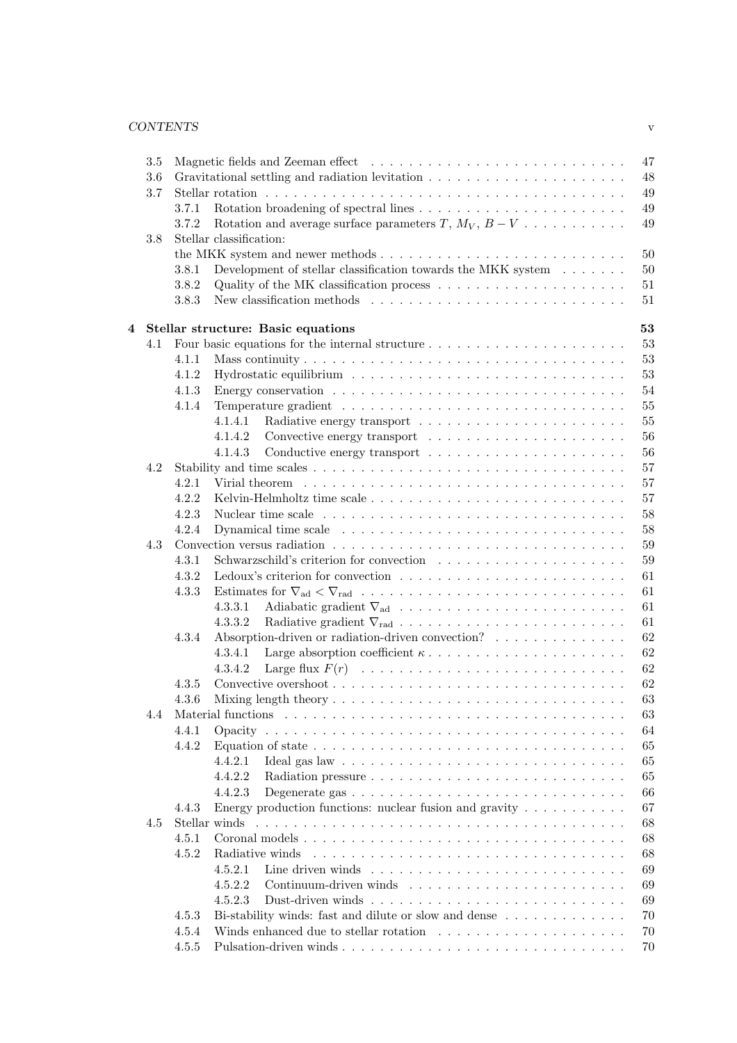## *CONTENTS* v

|                         | 3.5 |               | 47                                                                                                        |
|-------------------------|-----|---------------|-----------------------------------------------------------------------------------------------------------|
|                         | 3.6 |               | 48                                                                                                        |
|                         | 3.7 |               | 49                                                                                                        |
|                         |     | 3.7.1         | 49                                                                                                        |
|                         |     | 3.7.2         | Rotation and average surface parameters $T$ , $M_V$ , $B-V$<br>49                                         |
|                         | 3.8 |               | Stellar classification:                                                                                   |
|                         |     |               | 50                                                                                                        |
|                         |     | 3.8.1         | Development of stellar classification towards the MKK system $\ldots \ldots$<br>$50\,$                    |
|                         |     | 3.8.2         | Quality of the MK classification process $\dots \dots \dots \dots \dots \dots \dots$<br>$51\,$            |
|                         |     | 3.8.3         | $51\,$                                                                                                    |
|                         |     |               |                                                                                                           |
| $\overline{\mathbf{4}}$ |     |               | 53<br>Stellar structure: Basic equations                                                                  |
|                         | 4.1 |               | 53                                                                                                        |
|                         |     | 4.1.1         | 53                                                                                                        |
|                         |     | 4.1.2         | 53                                                                                                        |
|                         |     | 4.1.3         | 54                                                                                                        |
|                         |     | 4.1.4         | $55\,$                                                                                                    |
|                         |     |               | $55\,$<br>4.1.4.1                                                                                         |
|                         |     |               | 56<br>4.1.4.2                                                                                             |
|                         |     |               | 56<br>4.1.4.3                                                                                             |
|                         |     |               |                                                                                                           |
|                         | 4.2 |               | 57                                                                                                        |
|                         |     | 4.2.1         | 57                                                                                                        |
|                         |     | 4.2.2         | 57                                                                                                        |
|                         |     | 4.2.3         | 58                                                                                                        |
|                         |     | 4.2.4         | 58                                                                                                        |
|                         | 4.3 |               | 59                                                                                                        |
|                         |     | 4.3.1         | 59                                                                                                        |
|                         |     | 4.3.2         | 61                                                                                                        |
|                         |     | 4.3.3         | 61                                                                                                        |
|                         |     |               | 61<br>4.3.3.1                                                                                             |
|                         |     |               | 61<br>4.3.3.2                                                                                             |
|                         |     | 4.3.4         | Absorption-driven or radiation-driven convection?<br>62                                                   |
|                         |     |               | 62<br>4.3.4.1                                                                                             |
|                         |     |               | 62<br>4.3.4.2                                                                                             |
|                         |     | 4.3.5         | 62<br>Convective overshoot $\ldots \ldots \ldots \ldots \ldots \ldots \ldots \ldots \ldots \ldots \ldots$ |
|                         |     |               | 63                                                                                                        |
|                         |     | 4.3.6         |                                                                                                           |
|                         | 4.4 |               | 63                                                                                                        |
|                         |     | 4.4.1         | 64                                                                                                        |
|                         |     | 4.4.2         | 65                                                                                                        |
|                         |     |               | 4.4.2.1<br>65                                                                                             |
|                         |     |               | 4.4.2.2<br>65                                                                                             |
|                         |     |               | 4.4.2.3<br>66                                                                                             |
|                         |     | 4.4.3         | Energy production functions: nuclear fusion and gravity $\dots \dots \dots$<br>67                         |
|                         | 4.5 | Stellar winds | 68                                                                                                        |
|                         |     | 4.5.1         | 68                                                                                                        |
|                         |     | 4.5.2         | 68<br>Radiative winds                                                                                     |
|                         |     |               | 69<br>4.5.2.1                                                                                             |
|                         |     |               | 69<br>4.5.2.2                                                                                             |
|                         |     |               | 69<br>4.5.2.3                                                                                             |
|                         |     | 4.5.3         | Bi-stability winds: fast and dilute or slow and dense<br>70                                               |
|                         |     | 4.5.4         | 70                                                                                                        |
|                         |     | 4.5.5         | 70                                                                                                        |
|                         |     |               |                                                                                                           |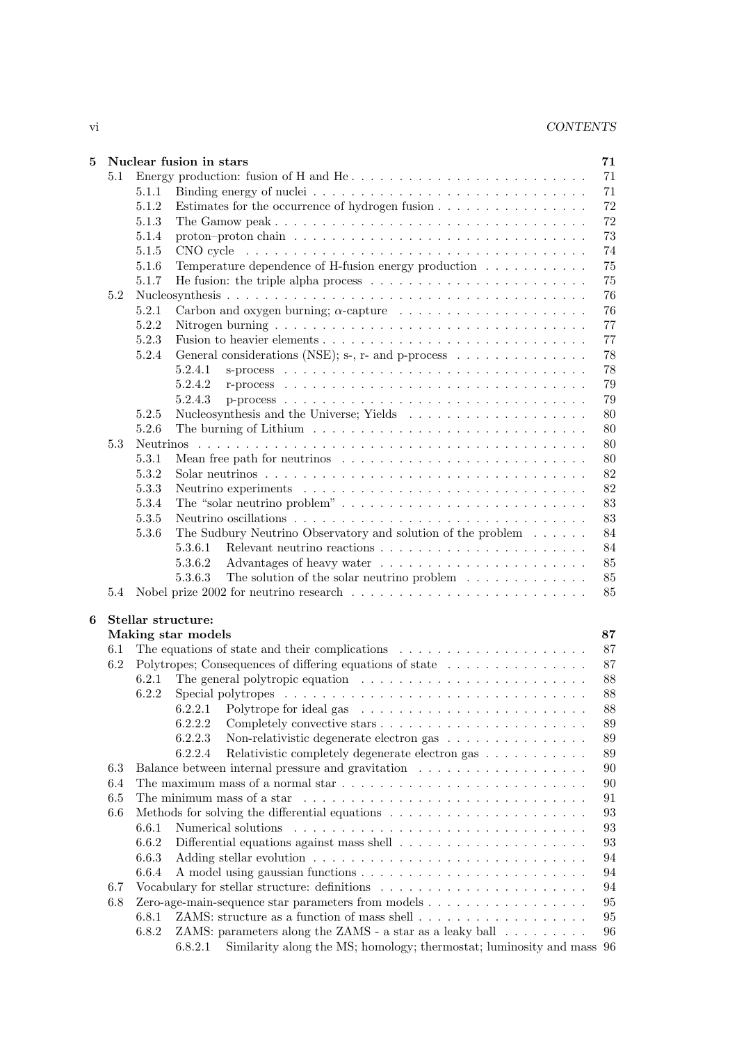vi *CONTENTS*

| 5 |     | Nuclear fusion in stars<br>71                                                                                        |  |
|---|-----|----------------------------------------------------------------------------------------------------------------------|--|
|   | 5.1 | 71                                                                                                                   |  |
|   |     | 71<br>5.1.1                                                                                                          |  |
|   |     | 72<br>5.1.2<br>Estimates for the occurrence of hydrogen fusion                                                       |  |
|   |     | 72<br>5.1.3                                                                                                          |  |
|   |     | 73<br>5.1.4<br>proton-proton chain $\ldots \ldots \ldots \ldots \ldots \ldots \ldots \ldots \ldots \ldots \ldots$    |  |
|   |     | 5.1.5<br>74                                                                                                          |  |
|   |     | 75<br>5.1.6<br>Temperature dependence of H-fusion energy production                                                  |  |
|   |     | 75<br>5.1.7<br>He fusion: the triple alpha process $\dots \dots \dots \dots \dots \dots \dots \dots \dots$           |  |
|   | 5.2 | 76                                                                                                                   |  |
|   |     | 5.2.1<br>76                                                                                                          |  |
|   |     | $77\,$<br>5.2.2<br>Nitrogen burning $\ldots \ldots \ldots \ldots \ldots \ldots \ldots \ldots \ldots \ldots \ldots$   |  |
|   |     | $77\,$<br>5.2.3                                                                                                      |  |
|   |     | 5.2.4<br>General considerations (NSE); s-, r- and p-process $\dots \dots \dots \dots \dots$<br>78                    |  |
|   |     | 78<br>5.2.4.1                                                                                                        |  |
|   |     | 5.2.4.2<br>79                                                                                                        |  |
|   |     | 79<br>5.2.4.3                                                                                                        |  |
|   |     | 5.2.5<br>80                                                                                                          |  |
|   |     | 5.2.6<br>The burning of Lithium $\ldots \ldots \ldots \ldots \ldots \ldots \ldots \ldots \ldots \ldots$<br>80        |  |
|   | 5.3 | 80<br><b>Neutrinos</b>                                                                                               |  |
|   |     | 5.3.1<br>Mean free path for neutrinos $\dots \dots \dots \dots \dots \dots \dots \dots \dots \dots$<br>80            |  |
|   |     | 82<br>5.3.2<br>Solar neutrinos $\ldots \ldots \ldots \ldots \ldots \ldots \ldots \ldots \ldots \ldots \ldots \ldots$ |  |
|   |     | 82<br>5.3.3                                                                                                          |  |
|   |     | 83<br>5.3.4                                                                                                          |  |
|   |     | 83<br>5.3.5                                                                                                          |  |
|   |     | The Sudbury Neutrino Observatory and solution of the problem $\dots \dots$<br>5.3.6<br>84                            |  |
|   |     | 84<br>5.3.6.1                                                                                                        |  |
|   |     | 5.3.6.2<br>85                                                                                                        |  |
|   |     | 5.3.6.3<br>The solution of the solar neutrino problem $\ldots \ldots \ldots \ldots$<br>85                            |  |
|   | 5.4 | 85                                                                                                                   |  |
|   |     |                                                                                                                      |  |
| 6 |     | Stellar structure:                                                                                                   |  |
|   |     | Making star models<br>87                                                                                             |  |
|   | 6.1 | The equations of state and their complications $\ldots \ldots \ldots \ldots \ldots \ldots \ldots$<br>87              |  |
|   | 6.2 | Polytropes; Consequences of differing equations of state<br>87                                                       |  |
|   |     | The general polytropic equation $\ldots \ldots \ldots \ldots \ldots \ldots \ldots \ldots$<br>88<br>6.2.1             |  |
|   |     | 6.2.2<br>88                                                                                                          |  |
|   |     | $88\,$                                                                                                               |  |
|   |     | 6.2.2.2<br>89                                                                                                        |  |
|   |     | 6.2.2.3<br>Non-relativistic degenerate electron gas<br>89                                                            |  |
|   |     | 6.2.2.4<br>89<br>Relativistic completely degenerate electron gas                                                     |  |
|   | 6.3 | 90                                                                                                                   |  |
|   | 6.4 | 90                                                                                                                   |  |
|   | 6.5 | The minimum mass of a star<br>91                                                                                     |  |
|   | 6.6 | 93                                                                                                                   |  |
|   |     | 93<br>6.6.1                                                                                                          |  |
|   |     | 6.6.2<br>93                                                                                                          |  |
|   |     | 6.6.3<br>94                                                                                                          |  |
|   |     | 6.6.4<br>94                                                                                                          |  |
|   | 6.7 | 94                                                                                                                   |  |
|   | 6.8 | 95                                                                                                                   |  |
|   |     | 6.8.1<br>95                                                                                                          |  |
|   |     | ZAMS: parameters along the ZAMS - a star as a leaky ball<br>6.8.2<br>96                                              |  |
|   |     | Similarity along the MS; homology; thermostat; luminosity and mass<br>6.8.2.1<br>96                                  |  |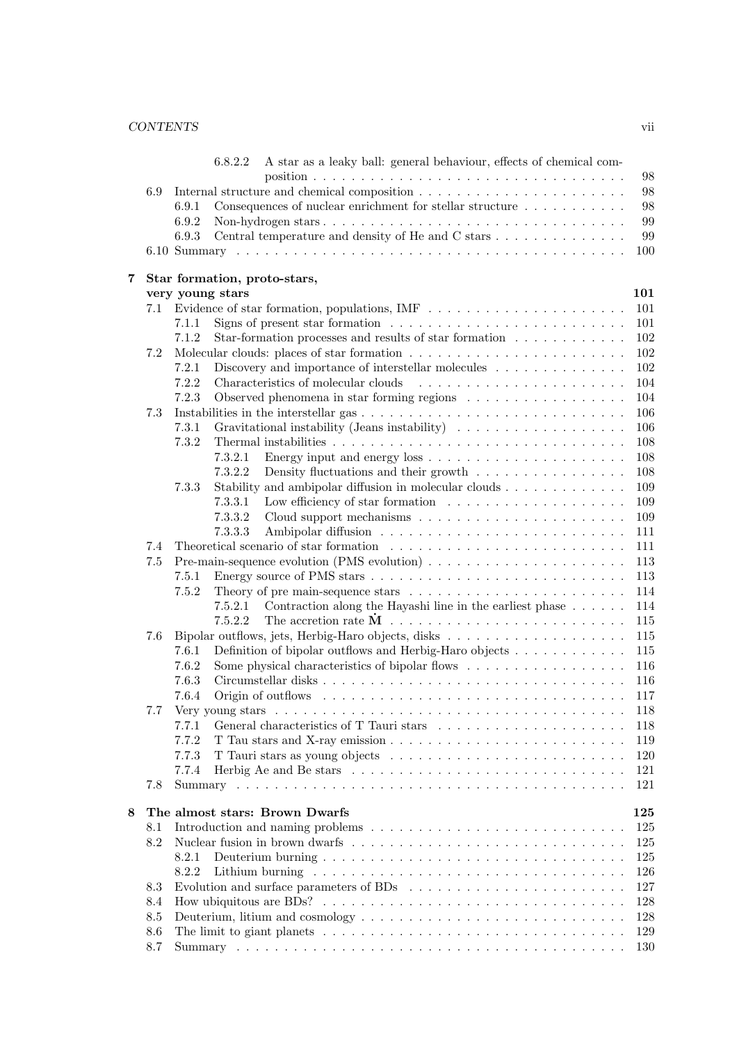## *CONTENTS* vii

|   |     | A star as a leaky ball: general behaviour, effects of chemical com-<br>6.8.2.2                                          |
|---|-----|-------------------------------------------------------------------------------------------------------------------------|
|   |     | 98                                                                                                                      |
|   | 6.9 | 98                                                                                                                      |
|   |     | 98<br>Consequences of nuclear enrichment for stellar structure<br>6.9.1                                                 |
|   |     | 99<br>6.9.2                                                                                                             |
|   |     | 99<br>6.9.3                                                                                                             |
|   |     | 100                                                                                                                     |
| 7 |     | Star formation, proto-stars,                                                                                            |
|   |     | very young stars<br>101                                                                                                 |
|   | 7.1 | Evidence of star formation, populations, IMF $\ldots \ldots \ldots \ldots \ldots \ldots \ldots$<br>101                  |
|   |     | Signs of present star formation $\ldots \ldots \ldots \ldots \ldots \ldots \ldots \ldots$<br>101<br>7.1.1               |
|   |     | 7.1.2<br>Star-formation processes and results of star formation $\ldots \ldots \ldots \ldots$<br>$102\,$                |
|   | 7.2 | 102                                                                                                                     |
|   |     | Discovery and importance of interstellar molecules<br>102<br>7.2.1                                                      |
|   |     | 7.2.2<br>Characteristics of molecular clouds<br>$\sim$ 100 km s and a second contract of the second state $\sim$<br>104 |
|   |     | 7.2.3<br>Observed phenomena in star forming regions<br>104                                                              |
|   | 7.3 | 106                                                                                                                     |
|   |     | Gravitational instability (Jeans instability)<br>7.3.1<br>106                                                           |
|   |     | 7.3.2<br>108                                                                                                            |
|   |     | 108<br>7.3.2.1                                                                                                          |
|   |     | 7.3.2.2<br>Density fluctuations and their growth $\dots \dots \dots \dots \dots$<br>108                                 |
|   |     | Stability and ambipolar diffusion in molecular clouds $\ldots \ldots \ldots \ldots$<br>7.3.3<br>109                     |
|   |     | 7.3.3.1<br>109                                                                                                          |
|   |     | Cloud support mechanisms $\ldots \ldots \ldots \ldots \ldots \ldots \ldots \ldots$<br>7.3.3.2<br>109                    |
|   |     | 7.3.3.3<br>111                                                                                                          |
|   | 7.4 | 111                                                                                                                     |
|   | 7.5 | Pre-main-sequence evolution (PMS evolution) $\dots \dots \dots \dots \dots \dots \dots \dots$<br>113                    |
|   |     | 113<br>7.5.1                                                                                                            |
|   |     | 7.5.2<br>114                                                                                                            |
|   |     | Contraction along the Hayashi line in the earliest phase $\dots \dots$<br>114<br>7.5.2.1                                |
|   |     | 7.5.2.2<br>115                                                                                                          |
|   | 7.6 | 115                                                                                                                     |
|   |     | Definition of bipolar outflows and Herbig-Haro objects<br>7.6.1<br>115                                                  |
|   |     | 7.6.2<br>Some physical characteristics of bipolar flows<br>116                                                          |
|   |     | 7.6.3<br>116                                                                                                            |
|   |     | 7.6.4<br>117                                                                                                            |
|   | 77  | 118                                                                                                                     |
|   |     | 7.7.1<br>118                                                                                                            |
|   |     | 7.7.2<br>119                                                                                                            |
|   |     | 7.7.3<br>120                                                                                                            |
|   |     | 7.7.4<br>121                                                                                                            |
|   | 7.8 | 121                                                                                                                     |
| 8 |     | The almost stars: Brown Dwarfs<br>125                                                                                   |
|   | 8.1 | 125                                                                                                                     |
|   | 8.2 | 125                                                                                                                     |
|   |     | 8.2.1<br>125                                                                                                            |
|   |     | 8.2.2<br>126                                                                                                            |
|   | 8.3 | 127                                                                                                                     |
|   | 8.4 | How ubiquitous are BDs? $\dots \dots \dots \dots \dots \dots \dots \dots \dots \dots \dots \dots \dots$<br>128          |
|   | 8.5 | 128                                                                                                                     |
|   | 8.6 | 129                                                                                                                     |
|   | 8.7 | 130                                                                                                                     |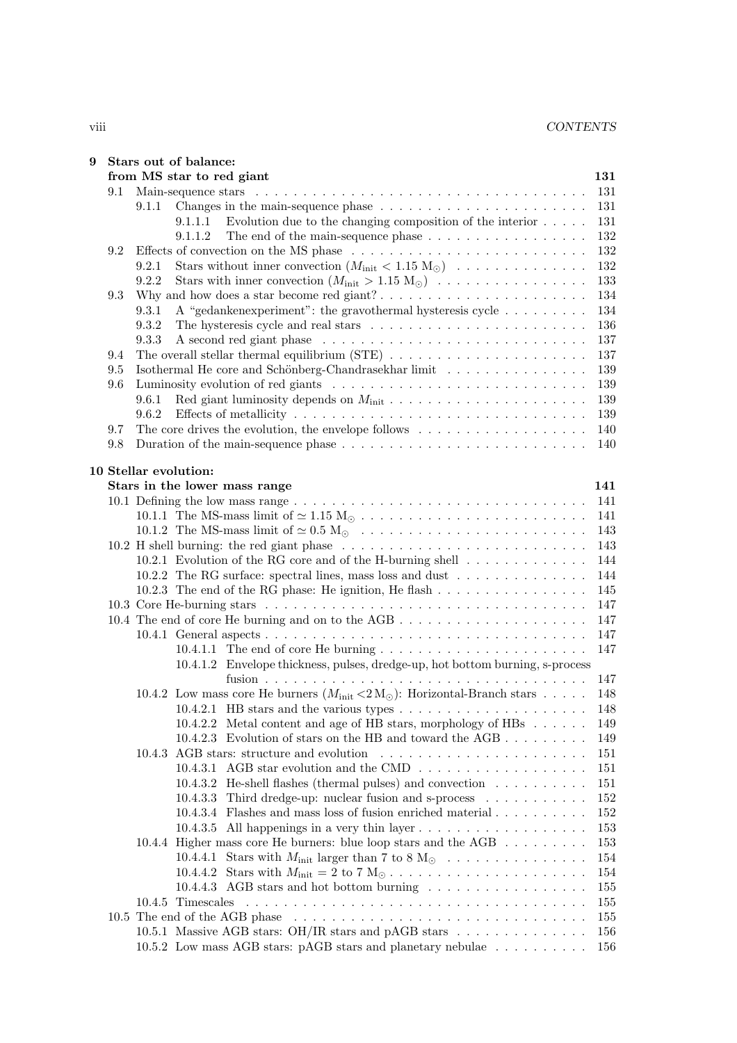| from MS star to red giant<br>131<br>131<br>$9.1\,$<br>9.1.1<br>131<br>Evolution due to the changing composition of the interior<br>9.1.1.1<br>131<br>9.1.1.2<br>The end of the main-sequence phase $\dots \dots \dots \dots \dots \dots$<br>132<br>Effects of convection on the MS phase $\ldots \ldots \ldots \ldots \ldots \ldots \ldots \ldots \ldots$<br>132<br>$9.2^{\circ}$<br>Stars without inner convection $(M_{\text{init}} < 1.15 M_{\odot}) \dots \dots \dots \dots \dots$<br>132<br>9.2.1<br>9.2.2<br>Stars with inner convection $(M_{\text{init}} > 1.15 M_{\odot}) \dots \dots \dots \dots \dots \dots$<br>133<br>134<br>9.3<br>A "gedankenexperiment": the gravothermal hysteresis cycle<br>134<br>9.3.1<br>9.3.2<br>136<br>9.3.3<br>137<br>137<br>9.4<br>Isothermal He core and Schönberg-Chandrasekhar limit<br>9.5<br>139<br>9.6<br>139<br>9.6.1<br>139<br>9.6.2<br>139<br>The core drives the evolution, the envelope follows $\dots \dots \dots \dots \dots \dots \dots$<br>9.7<br>140<br>9.8<br>140<br>10 Stellar evolution:<br>Stars in the lower mass range<br>141<br>141<br>141<br>10.1.2 The MS-mass limit of $\simeq 0.5 \text{ M}_{\odot}$<br>143<br>143<br>10.2.1 Evolution of the RG core and of the H-burning shell $\dots \dots \dots \dots$<br>144<br>10.2.2 The RG surface: spectral lines, mass loss and dust<br>144<br>145<br>147<br>147<br>147<br>147<br>10.4.1.2 Envelope thickness, pulses, dredge-up, hot bottom burning, s-process<br>147<br>10.4.2 Low mass core He burners $(M_{\text{init}} < 2 M_{\odot})$ : Horizontal-Branch stars<br>148<br>10.4.2.1 HB stars and the various types $\dots \dots \dots \dots \dots \dots \dots$<br>148<br>10.4.2.2 Metal content and age of HB stars, morphology of HBs<br>149<br>10.4.2.3 Evolution of stars on the HB and toward the AGB<br>149<br>10.4.3 AGB stars: structure and evolution<br>151<br>10.4.3.1 AGB star evolution and the CMD $\dots \dots \dots \dots \dots \dots$<br>151<br>10.4.3.2 He-shell flashes (thermal pulses) and convection<br>151<br>10.4.3.3 Third dredge-up: nuclear fusion and s-process<br>152<br>10.4.3.4 Flashes and mass loss of fusion enriched material<br>152<br>10.4.3.5 All happenings in a very thin layer $\dots \dots \dots \dots \dots \dots$<br>153<br>10.4.4 Higher mass core He burners: blue loop stars and the AGB<br>153<br>154<br>10.4.4.1 Stars with $M_{\text{init}}$ larger than 7 to 8 M <sub><math>\odot</math></sub><br>154<br>155<br>10.4.5 Timescales<br>155<br>155<br>10.5.1 Massive AGB stars: OH/IR stars and pAGB stars $\dots \dots \dots \dots$<br>156<br>10.5.2 Low mass AGB stars: pAGB stars and planetary nebulae<br>156 | 9 | Stars out of balance: |  |
|------------------------------------------------------------------------------------------------------------------------------------------------------------------------------------------------------------------------------------------------------------------------------------------------------------------------------------------------------------------------------------------------------------------------------------------------------------------------------------------------------------------------------------------------------------------------------------------------------------------------------------------------------------------------------------------------------------------------------------------------------------------------------------------------------------------------------------------------------------------------------------------------------------------------------------------------------------------------------------------------------------------------------------------------------------------------------------------------------------------------------------------------------------------------------------------------------------------------------------------------------------------------------------------------------------------------------------------------------------------------------------------------------------------------------------------------------------------------------------------------------------------------------------------------------------------------------------------------------------------------------------------------------------------------------------------------------------------------------------------------------------------------------------------------------------------------------------------------------------------------------------------------------------------------------------------------------------------------------------------------------------------------------------------------------------------------------------------------------------------------------------------------------------------------------------------------------------------------------------------------------------------------------------------------------------------------------------------------------------------------------------------------------------------------------------------------------------------------------------------------------------------------------------------------------------------------------------------------------------------------------------------------------------------------------------|---|-----------------------|--|
|                                                                                                                                                                                                                                                                                                                                                                                                                                                                                                                                                                                                                                                                                                                                                                                                                                                                                                                                                                                                                                                                                                                                                                                                                                                                                                                                                                                                                                                                                                                                                                                                                                                                                                                                                                                                                                                                                                                                                                                                                                                                                                                                                                                                                                                                                                                                                                                                                                                                                                                                                                                                                                                                                    |   |                       |  |
|                                                                                                                                                                                                                                                                                                                                                                                                                                                                                                                                                                                                                                                                                                                                                                                                                                                                                                                                                                                                                                                                                                                                                                                                                                                                                                                                                                                                                                                                                                                                                                                                                                                                                                                                                                                                                                                                                                                                                                                                                                                                                                                                                                                                                                                                                                                                                                                                                                                                                                                                                                                                                                                                                    |   |                       |  |
|                                                                                                                                                                                                                                                                                                                                                                                                                                                                                                                                                                                                                                                                                                                                                                                                                                                                                                                                                                                                                                                                                                                                                                                                                                                                                                                                                                                                                                                                                                                                                                                                                                                                                                                                                                                                                                                                                                                                                                                                                                                                                                                                                                                                                                                                                                                                                                                                                                                                                                                                                                                                                                                                                    |   |                       |  |
|                                                                                                                                                                                                                                                                                                                                                                                                                                                                                                                                                                                                                                                                                                                                                                                                                                                                                                                                                                                                                                                                                                                                                                                                                                                                                                                                                                                                                                                                                                                                                                                                                                                                                                                                                                                                                                                                                                                                                                                                                                                                                                                                                                                                                                                                                                                                                                                                                                                                                                                                                                                                                                                                                    |   |                       |  |
|                                                                                                                                                                                                                                                                                                                                                                                                                                                                                                                                                                                                                                                                                                                                                                                                                                                                                                                                                                                                                                                                                                                                                                                                                                                                                                                                                                                                                                                                                                                                                                                                                                                                                                                                                                                                                                                                                                                                                                                                                                                                                                                                                                                                                                                                                                                                                                                                                                                                                                                                                                                                                                                                                    |   |                       |  |
|                                                                                                                                                                                                                                                                                                                                                                                                                                                                                                                                                                                                                                                                                                                                                                                                                                                                                                                                                                                                                                                                                                                                                                                                                                                                                                                                                                                                                                                                                                                                                                                                                                                                                                                                                                                                                                                                                                                                                                                                                                                                                                                                                                                                                                                                                                                                                                                                                                                                                                                                                                                                                                                                                    |   |                       |  |
|                                                                                                                                                                                                                                                                                                                                                                                                                                                                                                                                                                                                                                                                                                                                                                                                                                                                                                                                                                                                                                                                                                                                                                                                                                                                                                                                                                                                                                                                                                                                                                                                                                                                                                                                                                                                                                                                                                                                                                                                                                                                                                                                                                                                                                                                                                                                                                                                                                                                                                                                                                                                                                                                                    |   |                       |  |
|                                                                                                                                                                                                                                                                                                                                                                                                                                                                                                                                                                                                                                                                                                                                                                                                                                                                                                                                                                                                                                                                                                                                                                                                                                                                                                                                                                                                                                                                                                                                                                                                                                                                                                                                                                                                                                                                                                                                                                                                                                                                                                                                                                                                                                                                                                                                                                                                                                                                                                                                                                                                                                                                                    |   |                       |  |
|                                                                                                                                                                                                                                                                                                                                                                                                                                                                                                                                                                                                                                                                                                                                                                                                                                                                                                                                                                                                                                                                                                                                                                                                                                                                                                                                                                                                                                                                                                                                                                                                                                                                                                                                                                                                                                                                                                                                                                                                                                                                                                                                                                                                                                                                                                                                                                                                                                                                                                                                                                                                                                                                                    |   |                       |  |
|                                                                                                                                                                                                                                                                                                                                                                                                                                                                                                                                                                                                                                                                                                                                                                                                                                                                                                                                                                                                                                                                                                                                                                                                                                                                                                                                                                                                                                                                                                                                                                                                                                                                                                                                                                                                                                                                                                                                                                                                                                                                                                                                                                                                                                                                                                                                                                                                                                                                                                                                                                                                                                                                                    |   |                       |  |
|                                                                                                                                                                                                                                                                                                                                                                                                                                                                                                                                                                                                                                                                                                                                                                                                                                                                                                                                                                                                                                                                                                                                                                                                                                                                                                                                                                                                                                                                                                                                                                                                                                                                                                                                                                                                                                                                                                                                                                                                                                                                                                                                                                                                                                                                                                                                                                                                                                                                                                                                                                                                                                                                                    |   |                       |  |
|                                                                                                                                                                                                                                                                                                                                                                                                                                                                                                                                                                                                                                                                                                                                                                                                                                                                                                                                                                                                                                                                                                                                                                                                                                                                                                                                                                                                                                                                                                                                                                                                                                                                                                                                                                                                                                                                                                                                                                                                                                                                                                                                                                                                                                                                                                                                                                                                                                                                                                                                                                                                                                                                                    |   |                       |  |
|                                                                                                                                                                                                                                                                                                                                                                                                                                                                                                                                                                                                                                                                                                                                                                                                                                                                                                                                                                                                                                                                                                                                                                                                                                                                                                                                                                                                                                                                                                                                                                                                                                                                                                                                                                                                                                                                                                                                                                                                                                                                                                                                                                                                                                                                                                                                                                                                                                                                                                                                                                                                                                                                                    |   |                       |  |
|                                                                                                                                                                                                                                                                                                                                                                                                                                                                                                                                                                                                                                                                                                                                                                                                                                                                                                                                                                                                                                                                                                                                                                                                                                                                                                                                                                                                                                                                                                                                                                                                                                                                                                                                                                                                                                                                                                                                                                                                                                                                                                                                                                                                                                                                                                                                                                                                                                                                                                                                                                                                                                                                                    |   |                       |  |
|                                                                                                                                                                                                                                                                                                                                                                                                                                                                                                                                                                                                                                                                                                                                                                                                                                                                                                                                                                                                                                                                                                                                                                                                                                                                                                                                                                                                                                                                                                                                                                                                                                                                                                                                                                                                                                                                                                                                                                                                                                                                                                                                                                                                                                                                                                                                                                                                                                                                                                                                                                                                                                                                                    |   |                       |  |
|                                                                                                                                                                                                                                                                                                                                                                                                                                                                                                                                                                                                                                                                                                                                                                                                                                                                                                                                                                                                                                                                                                                                                                                                                                                                                                                                                                                                                                                                                                                                                                                                                                                                                                                                                                                                                                                                                                                                                                                                                                                                                                                                                                                                                                                                                                                                                                                                                                                                                                                                                                                                                                                                                    |   |                       |  |
|                                                                                                                                                                                                                                                                                                                                                                                                                                                                                                                                                                                                                                                                                                                                                                                                                                                                                                                                                                                                                                                                                                                                                                                                                                                                                                                                                                                                                                                                                                                                                                                                                                                                                                                                                                                                                                                                                                                                                                                                                                                                                                                                                                                                                                                                                                                                                                                                                                                                                                                                                                                                                                                                                    |   |                       |  |
|                                                                                                                                                                                                                                                                                                                                                                                                                                                                                                                                                                                                                                                                                                                                                                                                                                                                                                                                                                                                                                                                                                                                                                                                                                                                                                                                                                                                                                                                                                                                                                                                                                                                                                                                                                                                                                                                                                                                                                                                                                                                                                                                                                                                                                                                                                                                                                                                                                                                                                                                                                                                                                                                                    |   |                       |  |
|                                                                                                                                                                                                                                                                                                                                                                                                                                                                                                                                                                                                                                                                                                                                                                                                                                                                                                                                                                                                                                                                                                                                                                                                                                                                                                                                                                                                                                                                                                                                                                                                                                                                                                                                                                                                                                                                                                                                                                                                                                                                                                                                                                                                                                                                                                                                                                                                                                                                                                                                                                                                                                                                                    |   |                       |  |
|                                                                                                                                                                                                                                                                                                                                                                                                                                                                                                                                                                                                                                                                                                                                                                                                                                                                                                                                                                                                                                                                                                                                                                                                                                                                                                                                                                                                                                                                                                                                                                                                                                                                                                                                                                                                                                                                                                                                                                                                                                                                                                                                                                                                                                                                                                                                                                                                                                                                                                                                                                                                                                                                                    |   |                       |  |
|                                                                                                                                                                                                                                                                                                                                                                                                                                                                                                                                                                                                                                                                                                                                                                                                                                                                                                                                                                                                                                                                                                                                                                                                                                                                                                                                                                                                                                                                                                                                                                                                                                                                                                                                                                                                                                                                                                                                                                                                                                                                                                                                                                                                                                                                                                                                                                                                                                                                                                                                                                                                                                                                                    |   |                       |  |
|                                                                                                                                                                                                                                                                                                                                                                                                                                                                                                                                                                                                                                                                                                                                                                                                                                                                                                                                                                                                                                                                                                                                                                                                                                                                                                                                                                                                                                                                                                                                                                                                                                                                                                                                                                                                                                                                                                                                                                                                                                                                                                                                                                                                                                                                                                                                                                                                                                                                                                                                                                                                                                                                                    |   |                       |  |
|                                                                                                                                                                                                                                                                                                                                                                                                                                                                                                                                                                                                                                                                                                                                                                                                                                                                                                                                                                                                                                                                                                                                                                                                                                                                                                                                                                                                                                                                                                                                                                                                                                                                                                                                                                                                                                                                                                                                                                                                                                                                                                                                                                                                                                                                                                                                                                                                                                                                                                                                                                                                                                                                                    |   |                       |  |
|                                                                                                                                                                                                                                                                                                                                                                                                                                                                                                                                                                                                                                                                                                                                                                                                                                                                                                                                                                                                                                                                                                                                                                                                                                                                                                                                                                                                                                                                                                                                                                                                                                                                                                                                                                                                                                                                                                                                                                                                                                                                                                                                                                                                                                                                                                                                                                                                                                                                                                                                                                                                                                                                                    |   |                       |  |
|                                                                                                                                                                                                                                                                                                                                                                                                                                                                                                                                                                                                                                                                                                                                                                                                                                                                                                                                                                                                                                                                                                                                                                                                                                                                                                                                                                                                                                                                                                                                                                                                                                                                                                                                                                                                                                                                                                                                                                                                                                                                                                                                                                                                                                                                                                                                                                                                                                                                                                                                                                                                                                                                                    |   |                       |  |
|                                                                                                                                                                                                                                                                                                                                                                                                                                                                                                                                                                                                                                                                                                                                                                                                                                                                                                                                                                                                                                                                                                                                                                                                                                                                                                                                                                                                                                                                                                                                                                                                                                                                                                                                                                                                                                                                                                                                                                                                                                                                                                                                                                                                                                                                                                                                                                                                                                                                                                                                                                                                                                                                                    |   |                       |  |
|                                                                                                                                                                                                                                                                                                                                                                                                                                                                                                                                                                                                                                                                                                                                                                                                                                                                                                                                                                                                                                                                                                                                                                                                                                                                                                                                                                                                                                                                                                                                                                                                                                                                                                                                                                                                                                                                                                                                                                                                                                                                                                                                                                                                                                                                                                                                                                                                                                                                                                                                                                                                                                                                                    |   |                       |  |
|                                                                                                                                                                                                                                                                                                                                                                                                                                                                                                                                                                                                                                                                                                                                                                                                                                                                                                                                                                                                                                                                                                                                                                                                                                                                                                                                                                                                                                                                                                                                                                                                                                                                                                                                                                                                                                                                                                                                                                                                                                                                                                                                                                                                                                                                                                                                                                                                                                                                                                                                                                                                                                                                                    |   |                       |  |
|                                                                                                                                                                                                                                                                                                                                                                                                                                                                                                                                                                                                                                                                                                                                                                                                                                                                                                                                                                                                                                                                                                                                                                                                                                                                                                                                                                                                                                                                                                                                                                                                                                                                                                                                                                                                                                                                                                                                                                                                                                                                                                                                                                                                                                                                                                                                                                                                                                                                                                                                                                                                                                                                                    |   |                       |  |
|                                                                                                                                                                                                                                                                                                                                                                                                                                                                                                                                                                                                                                                                                                                                                                                                                                                                                                                                                                                                                                                                                                                                                                                                                                                                                                                                                                                                                                                                                                                                                                                                                                                                                                                                                                                                                                                                                                                                                                                                                                                                                                                                                                                                                                                                                                                                                                                                                                                                                                                                                                                                                                                                                    |   |                       |  |
|                                                                                                                                                                                                                                                                                                                                                                                                                                                                                                                                                                                                                                                                                                                                                                                                                                                                                                                                                                                                                                                                                                                                                                                                                                                                                                                                                                                                                                                                                                                                                                                                                                                                                                                                                                                                                                                                                                                                                                                                                                                                                                                                                                                                                                                                                                                                                                                                                                                                                                                                                                                                                                                                                    |   |                       |  |
|                                                                                                                                                                                                                                                                                                                                                                                                                                                                                                                                                                                                                                                                                                                                                                                                                                                                                                                                                                                                                                                                                                                                                                                                                                                                                                                                                                                                                                                                                                                                                                                                                                                                                                                                                                                                                                                                                                                                                                                                                                                                                                                                                                                                                                                                                                                                                                                                                                                                                                                                                                                                                                                                                    |   |                       |  |
|                                                                                                                                                                                                                                                                                                                                                                                                                                                                                                                                                                                                                                                                                                                                                                                                                                                                                                                                                                                                                                                                                                                                                                                                                                                                                                                                                                                                                                                                                                                                                                                                                                                                                                                                                                                                                                                                                                                                                                                                                                                                                                                                                                                                                                                                                                                                                                                                                                                                                                                                                                                                                                                                                    |   |                       |  |
|                                                                                                                                                                                                                                                                                                                                                                                                                                                                                                                                                                                                                                                                                                                                                                                                                                                                                                                                                                                                                                                                                                                                                                                                                                                                                                                                                                                                                                                                                                                                                                                                                                                                                                                                                                                                                                                                                                                                                                                                                                                                                                                                                                                                                                                                                                                                                                                                                                                                                                                                                                                                                                                                                    |   |                       |  |
|                                                                                                                                                                                                                                                                                                                                                                                                                                                                                                                                                                                                                                                                                                                                                                                                                                                                                                                                                                                                                                                                                                                                                                                                                                                                                                                                                                                                                                                                                                                                                                                                                                                                                                                                                                                                                                                                                                                                                                                                                                                                                                                                                                                                                                                                                                                                                                                                                                                                                                                                                                                                                                                                                    |   |                       |  |
|                                                                                                                                                                                                                                                                                                                                                                                                                                                                                                                                                                                                                                                                                                                                                                                                                                                                                                                                                                                                                                                                                                                                                                                                                                                                                                                                                                                                                                                                                                                                                                                                                                                                                                                                                                                                                                                                                                                                                                                                                                                                                                                                                                                                                                                                                                                                                                                                                                                                                                                                                                                                                                                                                    |   |                       |  |
|                                                                                                                                                                                                                                                                                                                                                                                                                                                                                                                                                                                                                                                                                                                                                                                                                                                                                                                                                                                                                                                                                                                                                                                                                                                                                                                                                                                                                                                                                                                                                                                                                                                                                                                                                                                                                                                                                                                                                                                                                                                                                                                                                                                                                                                                                                                                                                                                                                                                                                                                                                                                                                                                                    |   |                       |  |
|                                                                                                                                                                                                                                                                                                                                                                                                                                                                                                                                                                                                                                                                                                                                                                                                                                                                                                                                                                                                                                                                                                                                                                                                                                                                                                                                                                                                                                                                                                                                                                                                                                                                                                                                                                                                                                                                                                                                                                                                                                                                                                                                                                                                                                                                                                                                                                                                                                                                                                                                                                                                                                                                                    |   |                       |  |
|                                                                                                                                                                                                                                                                                                                                                                                                                                                                                                                                                                                                                                                                                                                                                                                                                                                                                                                                                                                                                                                                                                                                                                                                                                                                                                                                                                                                                                                                                                                                                                                                                                                                                                                                                                                                                                                                                                                                                                                                                                                                                                                                                                                                                                                                                                                                                                                                                                                                                                                                                                                                                                                                                    |   |                       |  |
|                                                                                                                                                                                                                                                                                                                                                                                                                                                                                                                                                                                                                                                                                                                                                                                                                                                                                                                                                                                                                                                                                                                                                                                                                                                                                                                                                                                                                                                                                                                                                                                                                                                                                                                                                                                                                                                                                                                                                                                                                                                                                                                                                                                                                                                                                                                                                                                                                                                                                                                                                                                                                                                                                    |   |                       |  |
|                                                                                                                                                                                                                                                                                                                                                                                                                                                                                                                                                                                                                                                                                                                                                                                                                                                                                                                                                                                                                                                                                                                                                                                                                                                                                                                                                                                                                                                                                                                                                                                                                                                                                                                                                                                                                                                                                                                                                                                                                                                                                                                                                                                                                                                                                                                                                                                                                                                                                                                                                                                                                                                                                    |   |                       |  |
|                                                                                                                                                                                                                                                                                                                                                                                                                                                                                                                                                                                                                                                                                                                                                                                                                                                                                                                                                                                                                                                                                                                                                                                                                                                                                                                                                                                                                                                                                                                                                                                                                                                                                                                                                                                                                                                                                                                                                                                                                                                                                                                                                                                                                                                                                                                                                                                                                                                                                                                                                                                                                                                                                    |   |                       |  |
|                                                                                                                                                                                                                                                                                                                                                                                                                                                                                                                                                                                                                                                                                                                                                                                                                                                                                                                                                                                                                                                                                                                                                                                                                                                                                                                                                                                                                                                                                                                                                                                                                                                                                                                                                                                                                                                                                                                                                                                                                                                                                                                                                                                                                                                                                                                                                                                                                                                                                                                                                                                                                                                                                    |   |                       |  |
|                                                                                                                                                                                                                                                                                                                                                                                                                                                                                                                                                                                                                                                                                                                                                                                                                                                                                                                                                                                                                                                                                                                                                                                                                                                                                                                                                                                                                                                                                                                                                                                                                                                                                                                                                                                                                                                                                                                                                                                                                                                                                                                                                                                                                                                                                                                                                                                                                                                                                                                                                                                                                                                                                    |   |                       |  |
|                                                                                                                                                                                                                                                                                                                                                                                                                                                                                                                                                                                                                                                                                                                                                                                                                                                                                                                                                                                                                                                                                                                                                                                                                                                                                                                                                                                                                                                                                                                                                                                                                                                                                                                                                                                                                                                                                                                                                                                                                                                                                                                                                                                                                                                                                                                                                                                                                                                                                                                                                                                                                                                                                    |   |                       |  |
|                                                                                                                                                                                                                                                                                                                                                                                                                                                                                                                                                                                                                                                                                                                                                                                                                                                                                                                                                                                                                                                                                                                                                                                                                                                                                                                                                                                                                                                                                                                                                                                                                                                                                                                                                                                                                                                                                                                                                                                                                                                                                                                                                                                                                                                                                                                                                                                                                                                                                                                                                                                                                                                                                    |   |                       |  |
|                                                                                                                                                                                                                                                                                                                                                                                                                                                                                                                                                                                                                                                                                                                                                                                                                                                                                                                                                                                                                                                                                                                                                                                                                                                                                                                                                                                                                                                                                                                                                                                                                                                                                                                                                                                                                                                                                                                                                                                                                                                                                                                                                                                                                                                                                                                                                                                                                                                                                                                                                                                                                                                                                    |   |                       |  |
|                                                                                                                                                                                                                                                                                                                                                                                                                                                                                                                                                                                                                                                                                                                                                                                                                                                                                                                                                                                                                                                                                                                                                                                                                                                                                                                                                                                                                                                                                                                                                                                                                                                                                                                                                                                                                                                                                                                                                                                                                                                                                                                                                                                                                                                                                                                                                                                                                                                                                                                                                                                                                                                                                    |   |                       |  |
|                                                                                                                                                                                                                                                                                                                                                                                                                                                                                                                                                                                                                                                                                                                                                                                                                                                                                                                                                                                                                                                                                                                                                                                                                                                                                                                                                                                                                                                                                                                                                                                                                                                                                                                                                                                                                                                                                                                                                                                                                                                                                                                                                                                                                                                                                                                                                                                                                                                                                                                                                                                                                                                                                    |   |                       |  |
|                                                                                                                                                                                                                                                                                                                                                                                                                                                                                                                                                                                                                                                                                                                                                                                                                                                                                                                                                                                                                                                                                                                                                                                                                                                                                                                                                                                                                                                                                                                                                                                                                                                                                                                                                                                                                                                                                                                                                                                                                                                                                                                                                                                                                                                                                                                                                                                                                                                                                                                                                                                                                                                                                    |   |                       |  |
|                                                                                                                                                                                                                                                                                                                                                                                                                                                                                                                                                                                                                                                                                                                                                                                                                                                                                                                                                                                                                                                                                                                                                                                                                                                                                                                                                                                                                                                                                                                                                                                                                                                                                                                                                                                                                                                                                                                                                                                                                                                                                                                                                                                                                                                                                                                                                                                                                                                                                                                                                                                                                                                                                    |   |                       |  |
|                                                                                                                                                                                                                                                                                                                                                                                                                                                                                                                                                                                                                                                                                                                                                                                                                                                                                                                                                                                                                                                                                                                                                                                                                                                                                                                                                                                                                                                                                                                                                                                                                                                                                                                                                                                                                                                                                                                                                                                                                                                                                                                                                                                                                                                                                                                                                                                                                                                                                                                                                                                                                                                                                    |   |                       |  |
|                                                                                                                                                                                                                                                                                                                                                                                                                                                                                                                                                                                                                                                                                                                                                                                                                                                                                                                                                                                                                                                                                                                                                                                                                                                                                                                                                                                                                                                                                                                                                                                                                                                                                                                                                                                                                                                                                                                                                                                                                                                                                                                                                                                                                                                                                                                                                                                                                                                                                                                                                                                                                                                                                    |   |                       |  |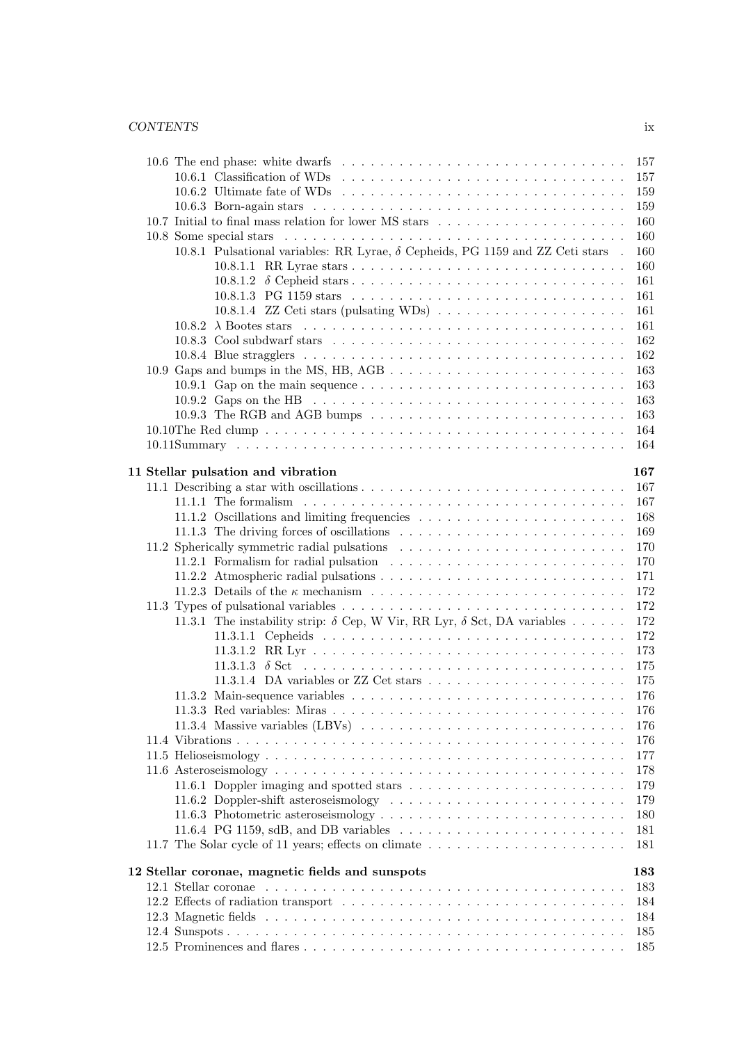## *CONTENTS* ix

|  | 157                                                                                                                |
|--|--------------------------------------------------------------------------------------------------------------------|
|  | 157                                                                                                                |
|  | 10.6.2 Ultimate fate of WDs $\dots \dots \dots \dots \dots \dots \dots \dots \dots \dots \dots \dots \dots$<br>159 |
|  | 159                                                                                                                |
|  | 160                                                                                                                |
|  | 160                                                                                                                |
|  | 10.8.1 Pulsational variables: RR Lyrae, $\delta$ Cepheids, PG 1159 and ZZ Ceti stars .<br>160                      |
|  | 160                                                                                                                |
|  | 161                                                                                                                |
|  | 161                                                                                                                |
|  | 10.8.1.4 ZZ Ceti stars (pulsating WDs) $\ldots \ldots \ldots \ldots \ldots \ldots$<br>161                          |
|  | 161                                                                                                                |
|  | 162                                                                                                                |
|  | 162                                                                                                                |
|  | 163                                                                                                                |
|  | 163<br>10.9.1 Gap on the main sequence $\dots \dots \dots \dots \dots \dots \dots \dots \dots \dots \dots \dots$   |
|  | 10.9.2 Gaps on the HB $\ldots \ldots \ldots \ldots \ldots \ldots \ldots \ldots \ldots \ldots \ldots \ldots$<br>163 |
|  | 163                                                                                                                |
|  | 164                                                                                                                |
|  | 164                                                                                                                |
|  |                                                                                                                    |
|  | 11 Stellar pulsation and vibration<br>167                                                                          |
|  | 167                                                                                                                |
|  | 167                                                                                                                |
|  | 168                                                                                                                |
|  | 169                                                                                                                |
|  | 170                                                                                                                |
|  | 170                                                                                                                |
|  | 171                                                                                                                |
|  | 172                                                                                                                |
|  | 172                                                                                                                |
|  | 11.3.1 The instability strip: $\delta$ Cep, W Vir, RR Lyr, $\delta$ Sct, DA variables<br>172                       |
|  | 172                                                                                                                |
|  | 173                                                                                                                |
|  | 175                                                                                                                |
|  | 11.3.1.4 DA variables or ZZ Cet stars $\dots \dots \dots \dots \dots \dots \dots \dots$<br>175                     |
|  | 176                                                                                                                |
|  | 176                                                                                                                |
|  | 176                                                                                                                |
|  | 176                                                                                                                |
|  | 177                                                                                                                |
|  | 178                                                                                                                |
|  | 11.6.1 Doppler imaging and spotted stars<br>179                                                                    |
|  | 179                                                                                                                |
|  | 180                                                                                                                |
|  | 11.6.4 PG 1159, sdB, and DB variables $\dots \dots \dots \dots \dots \dots \dots \dots \dots \dots$<br>181         |
|  | 11.7 The Solar cycle of 11 years; effects on climate<br>181                                                        |
|  |                                                                                                                    |
|  | 12 Stellar coronae, magnetic fields and sunspots<br>183                                                            |
|  | 183                                                                                                                |
|  | 184                                                                                                                |
|  | 184                                                                                                                |
|  | 185                                                                                                                |
|  | 185                                                                                                                |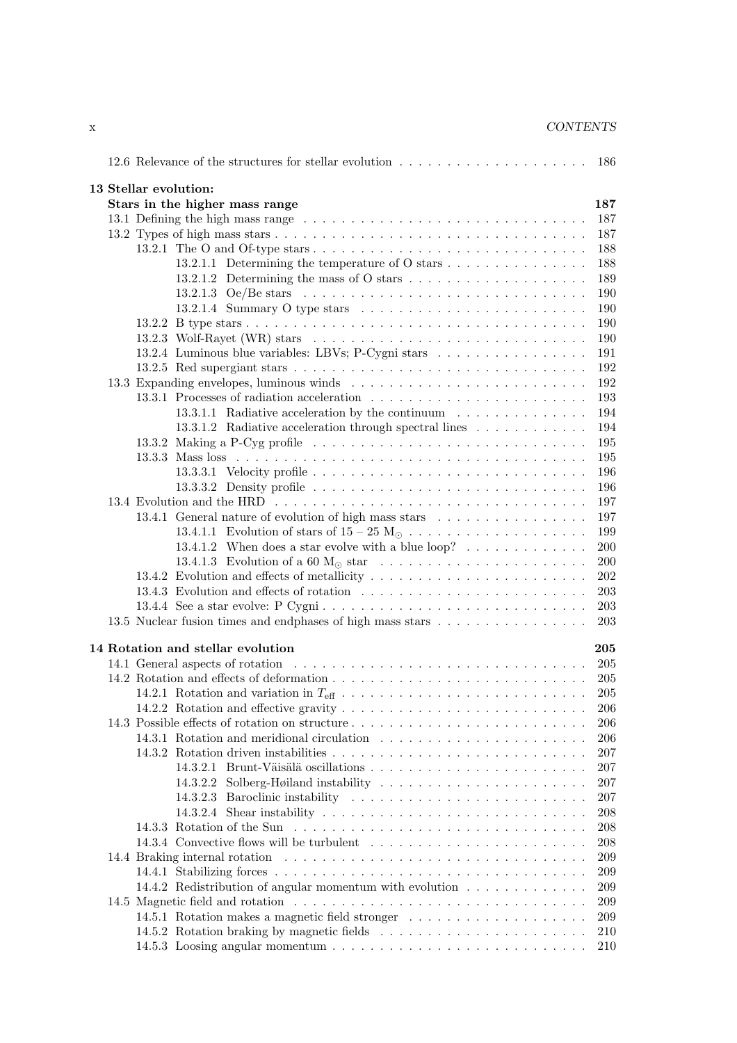| <b>CONTENTS</b> |
|-----------------|
|                 |

|  | 186                                                                                                                 |
|--|---------------------------------------------------------------------------------------------------------------------|
|  | 13 Stellar evolution:                                                                                               |
|  | Stars in the higher mass range<br>187                                                                               |
|  | 187                                                                                                                 |
|  | 187                                                                                                                 |
|  | 188                                                                                                                 |
|  | 13.2.1.1 Determining the temperature of O stars $\dots \dots \dots \dots \dots$<br>188                              |
|  | 13.2.1.2 Determining the mass of O stars $\dots \dots \dots \dots \dots \dots \dots$<br>189                         |
|  | 190                                                                                                                 |
|  | 190                                                                                                                 |
|  | 190                                                                                                                 |
|  | 13.2.3 Wolf-Rayet (WR) stars $\dots \dots \dots \dots \dots \dots \dots \dots \dots \dots \dots \dots \dots$<br>190 |
|  | 13.2.4 Luminous blue variables: LBVs; P-Cygni stars<br>191                                                          |
|  | 192                                                                                                                 |
|  | 192                                                                                                                 |
|  |                                                                                                                     |
|  | 193                                                                                                                 |
|  | 13.3.1.1 Radiative acceleration by the continuum<br>194                                                             |
|  | 13.3.1.2 Radiative acceleration through spectral lines $\ldots \ldots \ldots \ldots$<br>194                         |
|  | 13.3.2 Making a P-Cyg profile $\ldots \ldots \ldots \ldots \ldots \ldots \ldots \ldots \ldots \ldots \ldots$<br>195 |
|  | 195                                                                                                                 |
|  | 196                                                                                                                 |
|  | 196                                                                                                                 |
|  | 197                                                                                                                 |
|  | 13.4.1 General nature of evolution of high mass stars<br>197                                                        |
|  | 199                                                                                                                 |
|  | 13.4.1.2 When does a star evolve with a blue loop? $\dots \dots \dots \dots$<br>200                                 |
|  | 200                                                                                                                 |
|  | 202                                                                                                                 |
|  | 203                                                                                                                 |
|  | 203                                                                                                                 |
|  | 13.5 Nuclear fusion times and endphases of high mass stars<br>203                                                   |
|  |                                                                                                                     |
|  | 14 Rotation and stellar evolution<br>205                                                                            |
|  | 205                                                                                                                 |
|  | 205                                                                                                                 |
|  | 205                                                                                                                 |
|  | 206                                                                                                                 |
|  | 206                                                                                                                 |
|  | 206                                                                                                                 |
|  | 207                                                                                                                 |
|  | 207                                                                                                                 |
|  | 14.3.2.2 Solberg-Høiland instability<br>207                                                                         |
|  | 14.3.2.3 Baroclinic instability<br>207                                                                              |
|  | 208                                                                                                                 |
|  | 208                                                                                                                 |
|  | 208                                                                                                                 |
|  | 209                                                                                                                 |
|  | 209                                                                                                                 |
|  | 14.4.2 Redistribution of angular momentum with evolution<br>209                                                     |
|  | 209                                                                                                                 |
|  | 209                                                                                                                 |
|  |                                                                                                                     |
|  | 210                                                                                                                 |
|  | 210                                                                                                                 |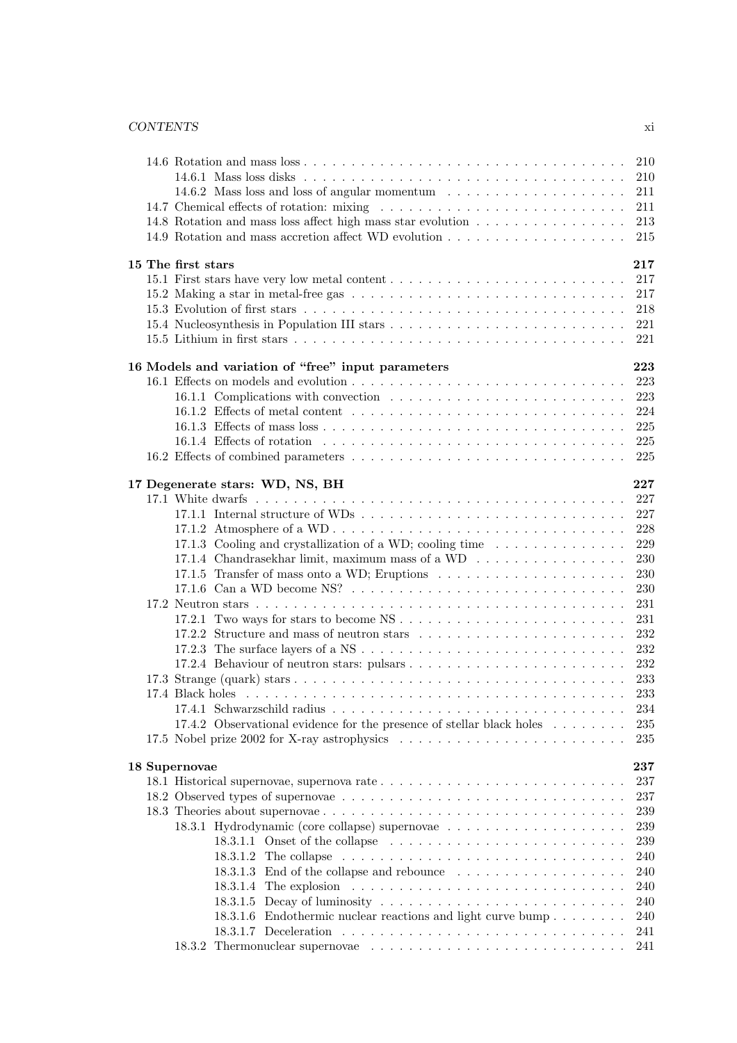|  |                                                                                                                                                   | 210        |
|--|---------------------------------------------------------------------------------------------------------------------------------------------------|------------|
|  |                                                                                                                                                   | 210        |
|  | 14.6.2 Mass loss and loss of angular momentum                                                                                                     | 211        |
|  |                                                                                                                                                   | 211        |
|  | 14.8 Rotation and mass loss affect high mass star evolution                                                                                       | 213        |
|  |                                                                                                                                                   | 215        |
|  | 15 The first stars                                                                                                                                | 217        |
|  |                                                                                                                                                   | 217        |
|  | 15.2 Making a star in metal-free gas $\ldots \ldots \ldots \ldots \ldots \ldots \ldots \ldots \ldots \ldots \ldots$                               | 217        |
|  |                                                                                                                                                   | 218        |
|  |                                                                                                                                                   | 221        |
|  |                                                                                                                                                   | 221        |
|  |                                                                                                                                                   |            |
|  | 16 Models and variation of "free" input parameters                                                                                                | 223        |
|  |                                                                                                                                                   | 223        |
|  | 16.1.1 Complications with convection<br>16.1.2 Effects of metal content $\dots \dots \dots \dots \dots \dots \dots \dots \dots \dots \dots \dots$ | 223<br>224 |
|  |                                                                                                                                                   | 225        |
|  |                                                                                                                                                   |            |
|  |                                                                                                                                                   | 225<br>225 |
|  |                                                                                                                                                   |            |
|  | 17 Degenerate stars: WD, NS, BH                                                                                                                   | 227        |
|  |                                                                                                                                                   | 227        |
|  |                                                                                                                                                   | 227        |
|  |                                                                                                                                                   | 228        |
|  | 17.1.3 Cooling and crystallization of a WD; cooling time                                                                                          | 229        |
|  | 17.1.4 Chandrasekhar limit, maximum mass of a WD                                                                                                  | 230        |
|  |                                                                                                                                                   | 230        |
|  |                                                                                                                                                   | 230        |
|  |                                                                                                                                                   | 231        |
|  | 17.2.1 Two ways for stars to become $NS \dots \dots \dots \dots \dots \dots \dots \dots \dots \dots$                                              | 231        |
|  |                                                                                                                                                   | 232        |
|  |                                                                                                                                                   | 232        |
|  |                                                                                                                                                   | 232        |
|  |                                                                                                                                                   | 233        |
|  |                                                                                                                                                   | 233        |
|  |                                                                                                                                                   | 234        |
|  | 17.4.2 Observational evidence for the presence of stellar black holes                                                                             | 235        |
|  |                                                                                                                                                   | 235        |
|  | 18 Supernovae                                                                                                                                     | 237        |
|  |                                                                                                                                                   | 237        |
|  | 18.2 Observed types of supernovae                                                                                                                 | 237        |
|  |                                                                                                                                                   | 239        |
|  |                                                                                                                                                   | 239        |
|  |                                                                                                                                                   | 239        |
|  |                                                                                                                                                   | 240        |
|  | 18.3.1.3 End of the collapse and rebounce                                                                                                         | 240        |
|  |                                                                                                                                                   | 240        |
|  |                                                                                                                                                   | 240        |
|  | 18.3.1.6 Endothermic nuclear reactions and light curve bump                                                                                       | 240        |
|  |                                                                                                                                                   | 241        |
|  |                                                                                                                                                   | 241        |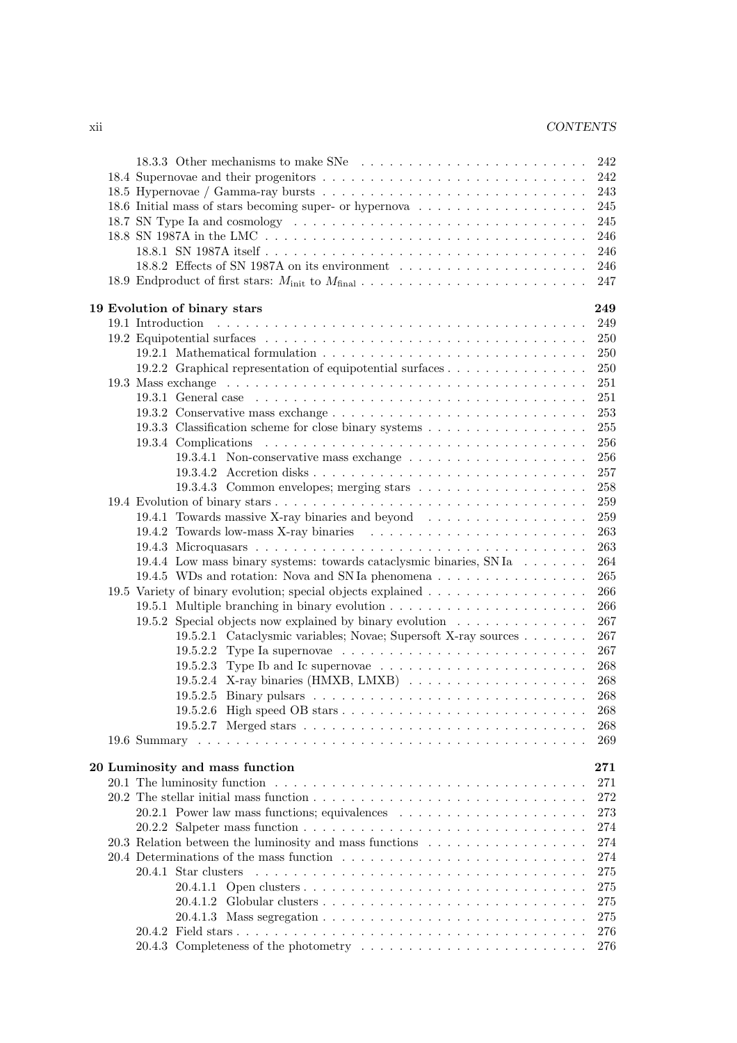|  | 18.3.3 Other mechanisms to make SNe                                                       | 242       |
|--|-------------------------------------------------------------------------------------------|-----------|
|  |                                                                                           | 242       |
|  |                                                                                           | 243       |
|  |                                                                                           | 245       |
|  |                                                                                           | 245       |
|  |                                                                                           | 246       |
|  |                                                                                           | 246       |
|  | 18.8.2 Effects of SN 1987A on its environment $\dots \dots \dots \dots \dots \dots \dots$ | 246       |
|  |                                                                                           | 247       |
|  | 19 Evolution of binary stars                                                              | 249       |
|  |                                                                                           | 249       |
|  |                                                                                           | 250       |
|  |                                                                                           | 250       |
|  | 19.2.2 Graphical representation of equipotential surfaces                                 | 250       |
|  |                                                                                           | 251       |
|  |                                                                                           | 251       |
|  |                                                                                           | 253       |
|  | 19.3.3 Classification scheme for close binary systems                                     | 255       |
|  |                                                                                           | 256       |
|  |                                                                                           | 256       |
|  |                                                                                           | 257       |
|  |                                                                                           | 258       |
|  |                                                                                           | 259       |
|  | 19.4.1 Towards massive X-ray binaries and beyond                                          | 259       |
|  |                                                                                           | 263       |
|  |                                                                                           | 263       |
|  | 19.4.4 Low mass binary systems: towards cataclysmic binaries, SNIa                        | 264       |
|  | 19.4.5 WDs and rotation: Nova and SN Ia phenomena                                         | 265       |
|  | 19.5 Variety of binary evolution; special objects explained                               | 266       |
|  |                                                                                           | 266       |
|  | 19.5.2 Special objects now explained by binary evolution                                  | 267       |
|  | 19.5.2.1 Cataclysmic variables; Novae; Supersoft X-ray sources                            | 267       |
|  | 19.5.2.2 Type Ia supernovae $\ldots \ldots \ldots \ldots \ldots \ldots \ldots \ldots$     | 267       |
|  |                                                                                           | 268       |
|  |                                                                                           | 268       |
|  |                                                                                           | 268       |
|  |                                                                                           | $268\,$   |
|  |                                                                                           | 268       |
|  |                                                                                           | 269       |
|  | 20 Luminosity and mass function                                                           | $\bf 271$ |
|  |                                                                                           | 271       |
|  |                                                                                           | 272       |
|  |                                                                                           | 273       |
|  |                                                                                           | 274       |
|  | 20.3 Relation between the luminosity and mass functions                                   | 274       |
|  |                                                                                           | 274       |
|  | 20.4.1 Star clusters                                                                      | 275       |
|  |                                                                                           | 275       |
|  |                                                                                           | 275       |
|  |                                                                                           | 275       |
|  |                                                                                           | 276       |
|  | 20.4.3 Completeness of the photometry                                                     | 276       |